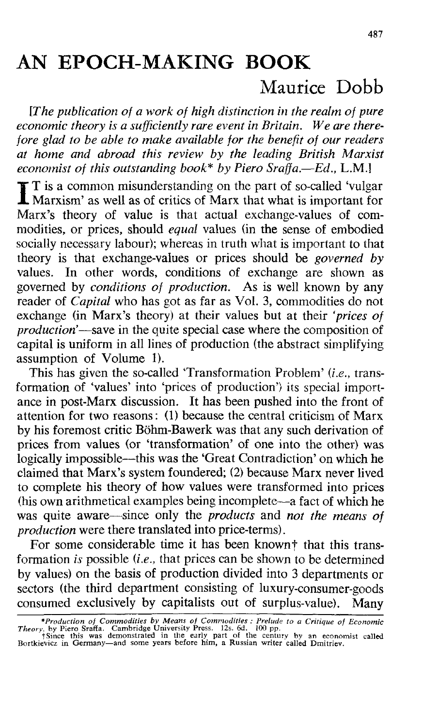## AN EPOCH-MAKING BOOK

## Maurice Dobb

*[The publication of a work of high distinction in the realm of pure economic theory is a sufficiently rare event in Britain. We are therefore glad to be able to make available for the benefit of our readers at home and abroad this review by the leading British Marxist economist of this outstanding book\* by Piero Sraffa.*—*Ed.,* L.M.]

I T is a common misunderstanding on the part of so-called 'vulgar<br>Marxism' as well as of critics of Marx that what is important for<br>Mary's theory of value is that actual auchanos values of some Marxism' as well as of critics of Marx that what is important for Marx's theory of value is that actual exchange-values of commodities, or prices, should *equal* values (in the sense of embodied socially necessary labour); whereas in truth what is important to that theory is that exchange-values or prices should be *governed by* values. In other words, conditions of exchange are shown as governed by *conditions of production.* As is well known by any reader of *Capital* who has got as far as Vol. 3, commodities do not exchange (in Marx's theory) at their values but at their *'prices of production'*—save in the quite special case where the composition of capital is uniform in all lines of production (the abstract simplifying assumption of Volume 1).

This has given the so-called 'Transformation Problem' *(i.e.,* transformation of 'values' into 'prices of production') its special importance in post-Marx discussion. It has been pushed into the front of attention for two reasons: (1) because the central criticism of Marx by his foremost critic Bohm-Bawerk was that any such derivation of prices from values (or 'transformation' of one into the other) was logically impossible—this was the 'Great Contradiction' on which he claimed that Marx's system foundered; (2) because Marx never lived to complete his theory of how values were transformed into prices (his own arithmetical examples being incomplete—a fact of which he was quite aware—since only the *products* and *not the means of production* were there translated into price-terms).

For some considerable time it has been known<sup>+</sup> that this transformation *is* possible *{i.e.,* that prices can be shown to be determined by values) on the basis of production divided into 3 departments or sectors (the third department consisting of luxury-consumer-goods consumed exclusively by capitalists out of surplus-value). Many

<sup>\*</sup>Production of Commodities by Means of Commodities : Prelude to a Critique of Economic<br>Theory, by Piero Srafta. Cambridge University Press. 12s. 6d. 100 pp.<br>Theory, by Piero Srafta. Cambridge University Press. 12s. 6d. 100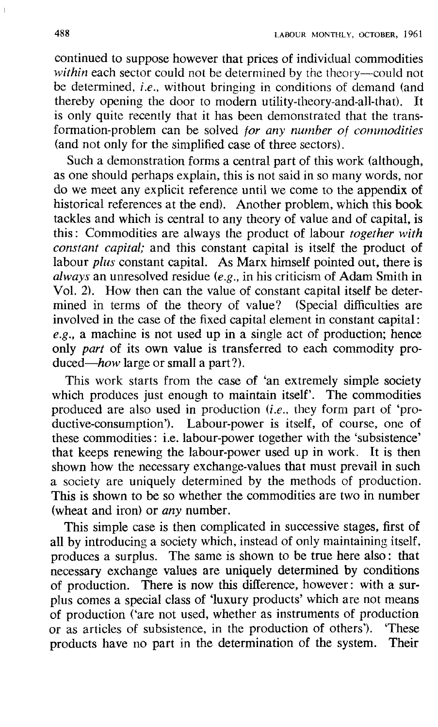continued to suppose however that prices of individual commodities *within* each sector could not be determined by the theory—could not be determined, *i.e.,* without bringing in conditions of demand (and thereby opening the door to modern utility-theory-and-all-that). is only quite recently that it has been demonstrated that the transformation-problem can be solved *for any number of commodities* (and not only for the simplified case of three sectors).

Such a demonstration forms a central part of this work (although, as one should perhaps explain, this is not said in so many words, nor do we meet any explicit reference until we come to the appendix of historical references at the end). Another problem, which this book tackles and which is central to any theory of value and of capital, is this: Commodities are always the product of labour *together with constant capital;* and this constant capital is itself the product of labour *plus* constant capital. As Marx himself pointed out, there is *always* an unresolved residue *(e.g.,* in his criticism of Adam Smith in Vol. 2). How then can the value of constant capital itself be determined in terms of the theory of value? (Special difficulties are involved in the case of the fixed capital element in constant capital: *e.g.,* a machine is not used up in a single act of production; hence only *part* of its own value is transferred to each commodity produced—*how* large or small a part?).

This work starts from the case of 'an extremely simple society which produces just enough to maintain itself'. The commodities produced are also used in production *(i.e.,* they form part of 'productive-consumption'). Labour-power is itself, of course, one of these commodities: i.e. labour-power together with the 'subsistence' that keeps renewing the labour-power used up in work. It is then shown how the necessary exchange-values that must prevail in such a society are uniquely determined by the methods of production. This is shown to be so whether the commodities are two in number (wheat and iron) or *any* number.

This simple case is then complicated in successive stages, first of all by introducing a society which, instead of only maintaining itself, produces a surplus. The same is shown to be true here also: that necessary exchange values are uniquely determined by conditions of production. There is now this difference, however: with a sur-There is now this difference, however: with a surplus comes a special class of 'luxury products' which are not means of production Care not used, whether as instruments of production or as articles of subsistence, in the production of others'). 'These products have no part in the determination of the system. Their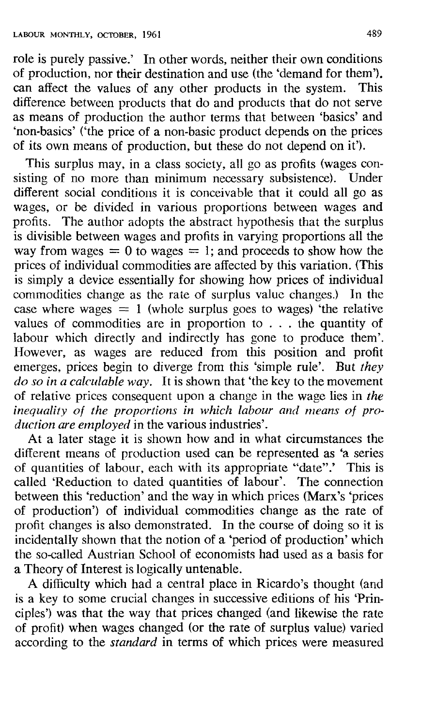role is purely passive.' In other words, neither their own conditions of production, nor their destination and use (the 'demand for them'), can affect the values of any other products in the system. This difference between products that do and products that do not serve as means of production the author terms that between 'basics' and 'non-basics' ('the price of a non-basic product depends on the prices of its own means of production, but these do not depend on it').

This surplus may, in a class society, all go as profits (wages consisting of no more than minimum necessary subsistence). Under different social conditions it is conceivable that it could all go as wages, or be divided in various proportions between wages and profits. The author adopts the abstract hypothesis that the surplus is divisible between wages and profits in varying proportions all the way from wages = 0 to wages = 1; and proceeds to show how the prices of individual commodities are affected by this variation. (This is simply a device essentially for showing how prices of individual commodities change as the rate of surplus value changes.) In the case where wages  $= 1$  (whole surplus goes to wages) the relative values of commodities are in proportion to .. . the quantity of labour which directly and indirectly has gone to produce them'. However, as wages are reduced from this position and profit emerges, prices begin to diverge from this 'simple rule'. But *they do so in a calculable way.* It is shown that 'the key to the movement of relative prices consequent upon a change in the wage lies in *the inequality of the proportions in which labour and means of production are employed* in the various industries'.

At a later stage it is shown how and in what circumstances the different means of production used can be represented as 'a series of quantities of labour, each with its appropriate "date".' This is called 'Reduction to dated quantities of labour'. The connection between this 'reduction' and the way in which prices (Marx's 'prices of production') of individual commodities change as the rate of profit changes is also demonstrated. In the course of doing so it is incidentally shown that the notion of a 'period of production' which the so-called Austrian School of economists had used as a basis for a Theory of Interest is logically untenable.

A difficulty which had a central place in Ricardo's thought (and is a key to some crucial changes in successive editions of his 'Principles') was that the way that prices changed (and likewise the rate of profit) when wages changed (or the rate of surplus value) varied according to the *standard* in terms of which prices were measured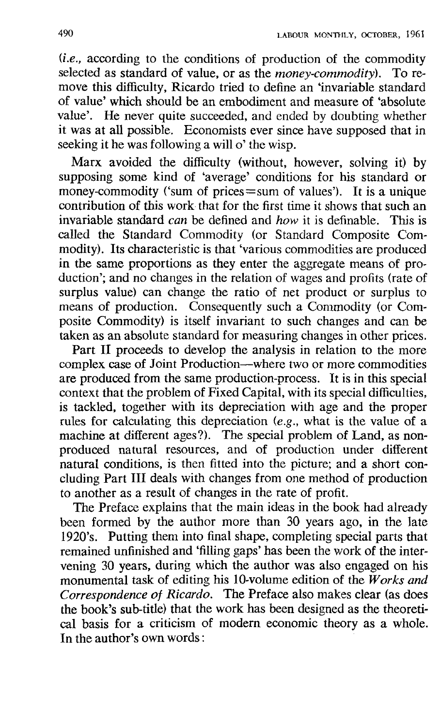*(i.e.,* according to the conditions of production of the commodity selected as standard of value, or as the *money-commodity).* To remove this difficulty, Ricardo tried to define an 'invariable standard of value' which should be an embodiment and measure of 'absolute value'. He never quite succeeded, and ended by doubting whether it was at all possible. Economists ever since have supposed that in seeking it he was following a will o' the wisp.

Marx avoided the difficulty (without, however, solving it) by supposing some kind of 'average' conditions for his standard or money-commodity ('sum of prices $=$ sum of values'). It is a unique contribution of this work that for the first time it shows that such an invariable standard *can* be defined and *how* it is definable. This is called the Standard Commodity (or Standard Composite Commodity). Its characteristic is that 'various commodities are produced in the same proportions as they enter the aggregate means of production'; and no changes in the relation of wages and profits (rate of surplus value) can change the ratio of net product or surplus to means of production. Consequently such a Commodity (or Composite Commodity) is itself invariant to such changes and can be taken as an absolute standard for measuring changes in other prices.

Part II proceeds to develop the analysis in relation to the more complex case of Joint Production—where two or more commodities are produced from the same production-process. It is in this special context that the problem of Fixed Capital, with its special difficulties, is tackled, together with its depreciation with age and the proper rules for calculating this depreciation *(e.g.,* what is the value of a machine at different ages?). The special problem of Land, as nonproduced natural resources, and of production under different natural conditions, is then fitted into the picture; and a short concluding Part III deals with changes from one method of production to another as a result of changes in the rate of profit.

The Preface explains that the main ideas in the book had already been formed by the author more than 30 years ago, in the late 1920's. Putting them into final shape, completing special parts that remained unfinished and 'filling gaps' has been the work of the intervening 30 years, during which the author was also engaged on his monumental task of editing his 10-volume edition of the *Works and Correspondence of Ricardo.* The Preface also makes clear (as does the book's sub-title) that the work has been designed as the theoretical basis for a criticism of modern economic theory as a whole. In the author's own words: